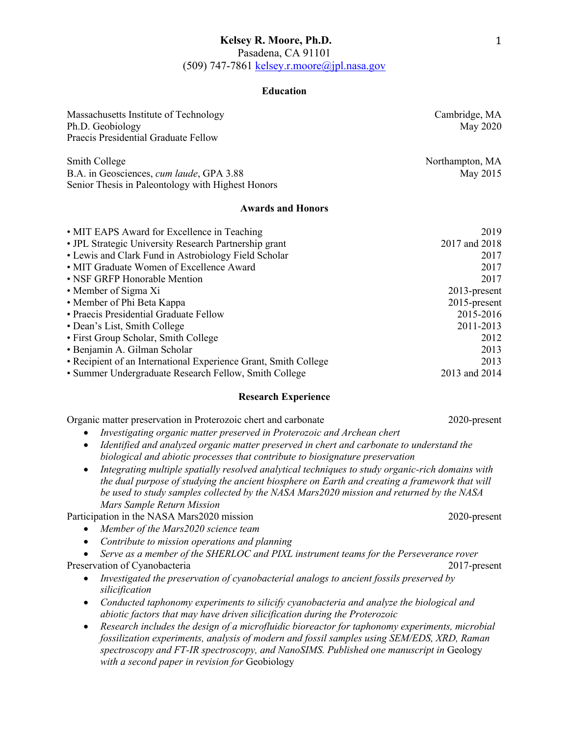Pasadena, CA 91101

(509) 747-7861 kelsey.r.moore@jpl.nasa.gov

### **Education**

| Massachusetts Institute of Technology<br>Ph.D. Geobiology<br>Praecis Presidential Graduate Fellow              | Cambridge, MA<br>May 2020   |
|----------------------------------------------------------------------------------------------------------------|-----------------------------|
| Smith College<br>B.A. in Geosciences, cum laude, GPA 3.88<br>Senior Thesis in Paleontology with Highest Honors | Northampton, MA<br>May 2015 |
| <b>Awards and Honors</b>                                                                                       |                             |

| • MIT EAPS Award for Excellence in Teaching                     | 2019            |
|-----------------------------------------------------------------|-----------------|
| • JPL Strategic University Research Partnership grant           | 2017 and 2018   |
| • Lewis and Clark Fund in Astrobiology Field Scholar            | 2017            |
| • MIT Graduate Women of Excellence Award                        | 2017            |
| • NSF GRFP Honorable Mention                                    | 2017            |
| • Member of Sigma Xi                                            | $2013$ -present |
| • Member of Phi Beta Kappa                                      | $2015$ -present |
| • Praecis Presidential Graduate Fellow                          | 2015-2016       |
| • Dean's List, Smith College                                    | 2011-2013       |
| • First Group Scholar, Smith College                            | 2012            |
| • Benjamin A. Gilman Scholar                                    | 2013            |
| • Recipient of an International Experience Grant, Smith College | 2013            |
| • Summer Undergraduate Research Fellow, Smith College           | 2013 and 2014   |

## **Research Experience**

Organic matter preservation in Proterozoic chert and carbonate 2020-present

- *Investigating organic matter preserved in Proterozoic and Archean chert*
- *Identified and analyzed organic matter preserved in chert and carbonate to understand the biological and abiotic processes that contribute to biosignature preservation*
- *Integrating multiple spatially resolved analytical techniques to study organic-rich domains with the dual purpose of studying the ancient biosphere on Earth and creating a framework that will be used to study samples collected by the NASA Mars2020 mission and returned by the NASA Mars Sample Return Mission*

Participation in the NASA Mars2020 mission 2020-present

- *Member of the Mars2020 science team*
- *Contribute to mission operations and planning*
- *Serve as a member of the SHERLOC and PIXL instrument teams for the Perseverance rover* Preservation of Cyanobacteria 2017-present
	- *Investigated the preservation of cyanobacterial analogs to ancient fossils preserved by silicification*
	- *Conducted taphonomy experiments to silicify cyanobacteria and analyze the biological and abiotic factors that may have driven silicification during the Proterozoic*
	- *Research includes the design of a microfluidic bioreactor for taphonomy experiments, microbial fossilization experiments, analysis of modern and fossil samples using SEM/EDS, XRD, Raman spectroscopy and FT-IR spectroscopy, and NanoSIMS. Published one manuscript in* Geology *with a second paper in revision for* Geobiology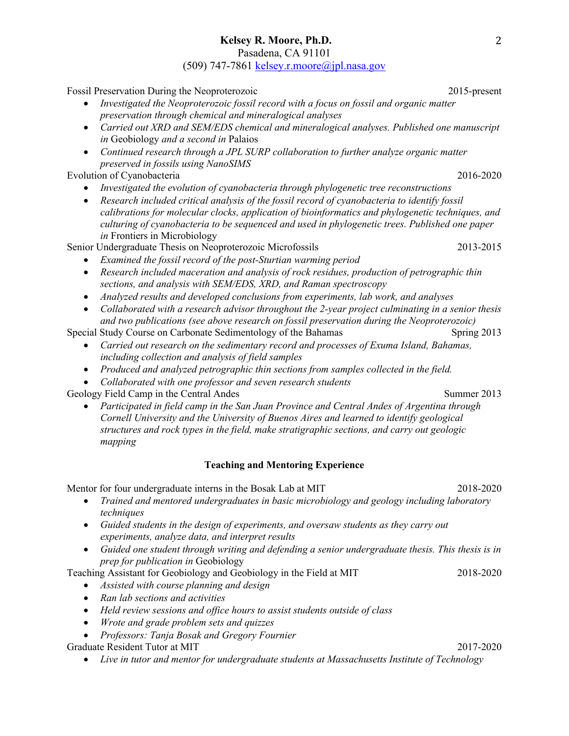Pasadena, CA 91101

(509) 747-7861 kelsey.r.moore@jpl.nasa.gov

Fossil Preservation During the Neoproterozoic 2015-present

- *Investigated the Neoproterozoic fossil record with a focus on fossil and organic matter preservation through chemical and mineralogical analyses*
- *Carried out XRD and SEM/EDS chemical and mineralogical analyses. Published one manuscript in* Geobiology *and a second in* Palaios
- *Continued research through a JPL SURP collaboration to further analyze organic matter preserved in fossils using NanoSIMS*

Evolution of Cyanobacteria 2016-2020

- *Investigated the evolution of cyanobacteria through phylogenetic tree reconstructions*
- *Research included critical analysis of the fossil record of cyanobacteria to identify fossil calibrations for molecular clocks, application of bioinformatics and phylogenetic techniques, and culturing of cyanobacteria to be sequenced and used in phylogenetic trees. Published one paper in* Frontiers in Microbiology

Senior Undergraduate Thesis on Neoproterozoic Microfossils 2013-2015

- *Examined the fossil record of the post-Sturtian warming period*
- *Research included maceration and analysis of rock residues, production of petrographic thin sections, and analysis with SEM/EDS, XRD, and Raman spectroscopy*
- *Analyzed results and developed conclusions from experiments, lab work, and analyses*
- *Collaborated with a research advisor throughout the 2-year project culminating in a senior thesis and two publications (see above research on fossil preservation during the Neoproterozoic)*

Special Study Course on Carbonate Sedimentology of the Bahamas Spring 2013

- *Carried out research on the sedimentary record and processes of Exuma Island, Bahamas, including collection and analysis of field samples*
- *Produced and analyzed petrographic thin sections from samples collected in the field.*
- *Collaborated with one professor and seven research students*

Geology Field Camp in the Central Andes Summer 2013

• *Participated in field camp in the San Juan Province and Central Andes of Argentina through Cornell University and the University of Buenos Aires and learned to identify geological structures and rock types in the field, make stratigraphic sections, and carry out geologic mapping*

# **Teaching and Mentoring Experience**

Mentor for four undergraduate interns in the Bosak Lab at MIT 2018-2020

- *Trained and mentored undergraduates in basic microbiology and geology including laboratory techniques*
- *Guided students in the design of experiments, and oversaw students as they carry out experiments, analyze data, and interpret results*
- *Guided one student through writing and defending a senior undergraduate thesis. This thesis is in prep for publication in* Geobiology

Teaching Assistant for Geobiology and Geobiology in the Field at MIT 2018-2020

- *Assisted with course planning and design*
- *Ran lab sections and activities*
- *Held review sessions and office hours to assist students outside of class*
- *Wrote and grade problem sets and quizzes*
- *Professors: Tanja Bosak and Gregory Fournier*

Graduate Resident Tutor at MIT 2017-2020

• *Live in tutor and mentor for undergraduate students at Massachusetts Institute of Technology*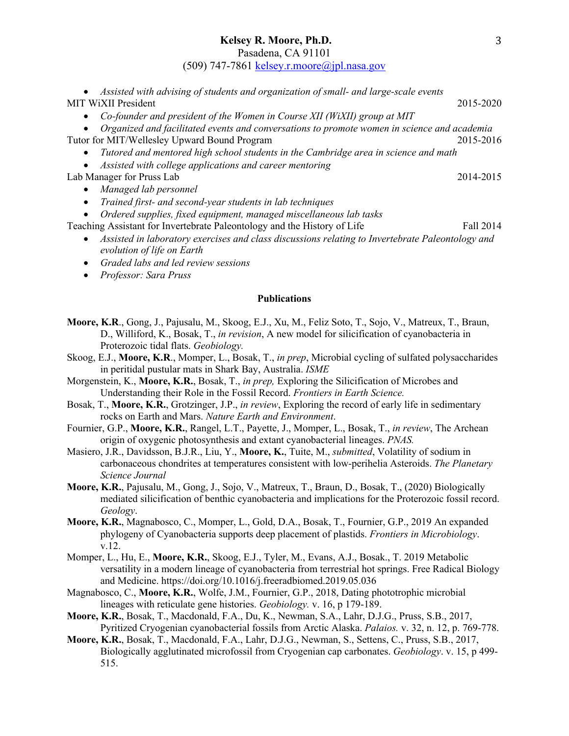Pasadena, CA 91101

(509) 747-7861 kelsey.r.moore@jpl.nasa.gov

| Assisted with advising of students and organization of small- and large-scale events                                                        |           |  |
|---------------------------------------------------------------------------------------------------------------------------------------------|-----------|--|
| <b>MIT WiXII President</b>                                                                                                                  | 2015-2020 |  |
| Co-founder and president of the Women in Course XII (WiXII) group at MIT<br>$\bullet$                                                       |           |  |
| Organized and facilitated events and conversations to promote women in science and academia                                                 |           |  |
| Tutor for MIT/Wellesley Upward Bound Program                                                                                                | 2015-2016 |  |
| Tutored and mentored high school students in the Cambridge area in science and math<br>$\bullet$                                            |           |  |
| Assisted with college applications and career mentoring                                                                                     |           |  |
| Lab Manager for Pruss Lab                                                                                                                   | 2014-2015 |  |
| Managed lab personnel<br>$\bullet$                                                                                                          |           |  |
| Trained first- and second-year students in lab techniques<br>$\bullet$                                                                      |           |  |
| Ordered supplies, fixed equipment, managed miscellaneous lab tasks                                                                          |           |  |
| Teaching Assistant for Invertebrate Paleontology and the History of Life                                                                    | Fall 2014 |  |
| Assisted in laboratory exercises and class discussions relating to Invertebrate Paleontology and<br>$\bullet$<br>evolution of life on Earth |           |  |
| Graded labs and led review sessions                                                                                                         |           |  |
| Professor: Sara Pruss                                                                                                                       |           |  |
| <b>Publications</b>                                                                                                                         |           |  |

- **Moore, K.R**., Gong, J., Pajusalu, M., Skoog, E.J., Xu, M., Feliz Soto, T., Sojo, V., Matreux, T., Braun, D., Williford, K., Bosak, T., *in revision*, A new model for silicification of cyanobacteria in Proterozoic tidal flats. *Geobiology.*
- Skoog, E.J., **Moore, K.R**., Momper, L., Bosak, T., *in prep*, Microbial cycling of sulfated polysaccharides in peritidal pustular mats in Shark Bay, Australia. *ISME*
- Morgenstein, K., **Moore, K.R.**, Bosak, T., *in prep,* Exploring the Silicification of Microbes and Understanding their Role in the Fossil Record. *Frontiers in Earth Science.*
- Bosak, T., **Moore, K.R.**, Grotzinger, J.P., *in review*, Exploring the record of early life in sedimentary rocks on Earth and Mars. *Nature Earth and Environment*.
- Fournier, G.P., **Moore, K.R.**, Rangel, L.T., Payette, J., Momper, L., Bosak, T., *in review*, The Archean origin of oxygenic photosynthesis and extant cyanobacterial lineages. *PNAS.*
- Masiero, J.R., Davidsson, B.J.R., Liu, Y., **Moore, K.**, Tuite, M., *submitted*, Volatility of sodium in carbonaceous chondrites at temperatures consistent with low-perihelia Asteroids. *The Planetary Science Journal*
- **Moore, K.R.**, Pajusalu, M., Gong, J., Sojo, V., Matreux, T., Braun, D., Bosak, T., (2020) Biologically mediated silicification of benthic cyanobacteria and implications for the Proterozoic fossil record. *Geology*.
- **Moore, K.R.**, Magnabosco, C., Momper, L., Gold, D.A., Bosak, T., Fournier, G.P., 2019 An expanded phylogeny of Cyanobacteria supports deep placement of plastids. *Frontiers in Microbiology*. v.12.
- Momper, L., Hu, E., **Moore, K.R.**, Skoog, E.J., Tyler, M., Evans, A.J., Bosak., T. 2019 Metabolic versatility in a modern lineage of cyanobacteria from terrestrial hot springs. Free Radical Biology and Medicine. https://doi.org/10.1016/j.freeradbiomed.2019.05.036
- Magnabosco, C., **Moore, K.R.**, Wolfe, J.M., Fournier, G.P., 2018, Dating phototrophic microbial lineages with reticulate gene histories. *Geobiology.* v. 16, p 179-189.
- **Moore, K.R.**, Bosak, T., Macdonald, F.A., Du, K., Newman, S.A., Lahr, D.J.G., Pruss, S.B., 2017, Pyritized Cryogenian cyanobacterial fossils from Arctic Alaska. *Palaios.* v. 32, n. 12, p. 769-778.
- **Moore, K.R.**, Bosak, T., Macdonald, F.A., Lahr, D.J.G., Newman, S., Settens, C., Pruss, S.B., 2017, Biologically agglutinated microfossil from Cryogenian cap carbonates. *Geobiology*. v. 15, p 499- 515.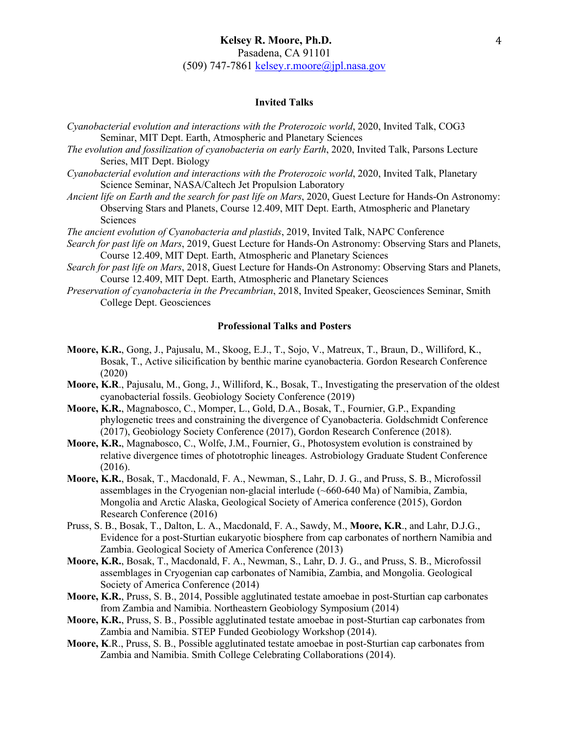# **Invited Talks**

- *Cyanobacterial evolution and interactions with the Proterozoic world*, 2020, Invited Talk, COG3 Seminar, MIT Dept. Earth, Atmospheric and Planetary Sciences
- *The evolution and fossilization of cyanobacteria on early Earth*, 2020, Invited Talk, Parsons Lecture Series, MIT Dept. Biology
- *Cyanobacterial evolution and interactions with the Proterozoic world*, 2020, Invited Talk, Planetary Science Seminar, NASA/Caltech Jet Propulsion Laboratory
- *Ancient life on Earth and the search for past life on Mars*, 2020, Guest Lecture for Hands-On Astronomy: Observing Stars and Planets, Course 12.409, MIT Dept. Earth, Atmospheric and Planetary Sciences
- *The ancient evolution of Cyanobacteria and plastids*, 2019, Invited Talk, NAPC Conference
- *Search for past life on Mars*, 2019, Guest Lecture for Hands-On Astronomy: Observing Stars and Planets, Course 12.409, MIT Dept. Earth, Atmospheric and Planetary Sciences
- *Search for past life on Mars*, 2018, Guest Lecture for Hands-On Astronomy: Observing Stars and Planets, Course 12.409, MIT Dept. Earth, Atmospheric and Planetary Sciences
- *Preservation of cyanobacteria in the Precambrian*, 2018, Invited Speaker, Geosciences Seminar, Smith College Dept. Geosciences

#### **Professional Talks and Posters**

- **Moore, K.R.**, Gong, J., Pajusalu, M., Skoog, E.J., T., Sojo, V., Matreux, T., Braun, D., Williford, K., Bosak, T., Active silicification by benthic marine cyanobacteria. Gordon Research Conference (2020)
- **Moore, K.R**., Pajusalu, M., Gong, J., Williford, K., Bosak, T., Investigating the preservation of the oldest cyanobacterial fossils. Geobiology Society Conference (2019)
- **Moore, K.R.**, Magnabosco, C., Momper, L., Gold, D.A., Bosak, T., Fournier, G.P., Expanding phylogenetic trees and constraining the divergence of Cyanobacteria. Goldschmidt Conference (2017), Geobiology Society Conference (2017), Gordon Research Conference (2018).
- **Moore, K.R.**, Magnabosco, C., Wolfe, J.M., Fournier, G., Photosystem evolution is constrained by relative divergence times of phototrophic lineages. Astrobiology Graduate Student Conference (2016).
- **Moore, K.R.**, Bosak, T., Macdonald, F. A., Newman, S., Lahr, D. J. G., and Pruss, S. B., Microfossil assemblages in the Cryogenian non-glacial interlude (~660-640 Ma) of Namibia, Zambia, Mongolia and Arctic Alaska, Geological Society of America conference (2015), Gordon Research Conference (2016)
- Pruss, S. B., Bosak, T., Dalton, L. A., Macdonald, F. A., Sawdy, M., **Moore, K.R**., and Lahr, D.J.G., Evidence for a post-Sturtian eukaryotic biosphere from cap carbonates of northern Namibia and Zambia. Geological Society of America Conference (2013)
- **Moore, K.R.**, Bosak, T., Macdonald, F. A., Newman, S., Lahr, D. J. G., and Pruss, S. B., Microfossil assemblages in Cryogenian cap carbonates of Namibia, Zambia, and Mongolia. Geological Society of America Conference (2014)
- **Moore, K.R.**, Pruss, S. B., 2014, Possible agglutinated testate amoebae in post-Sturtian cap carbonates from Zambia and Namibia. Northeastern Geobiology Symposium (2014)
- **Moore, K.R.**, Pruss, S. B., Possible agglutinated testate amoebae in post-Sturtian cap carbonates from Zambia and Namibia. STEP Funded Geobiology Workshop (2014).
- **Moore, K**.R., Pruss, S. B., Possible agglutinated testate amoebae in post-Sturtian cap carbonates from Zambia and Namibia. Smith College Celebrating Collaborations (2014).